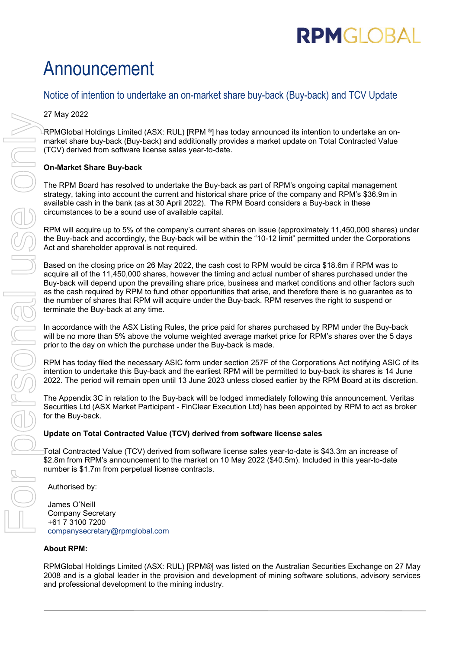# **RPMGLOBAL**

## Announcement

### Notice of intention to undertake an on-market share buy-back (Buy-back) and TCV Update

27 May 2022

RPMGlobal Holdings Limited (ASX: RUL) [RPM ®] has today announced its intention to undertake an onmarket share buy-back (Buy-back) and additionally provides a market update on Total Contracted Value (TCV) derived from software license sales year-to-date.

#### **On-Market Share Buy-back**

The RPM Board has resolved to undertake the Buy-back as part of RPM's ongoing capital management strategy, taking into account the current and historical share price of the company and RPM's \$36.9m in available cash in the bank (as at 30 April 2022). The RPM Board considers a Buy-back in these circumstances to be a sound use of available capital.

RPM will acquire up to 5% of the company's current shares on issue (approximately 11,450,000 shares) under the Buy-back and accordingly, the Buy-back will be within the "10-12 limit" permitted under the Corporations Act and shareholder approval is not required.

Based on the closing price on 26 May 2022, the cash cost to RPM would be circa \$18.6m if RPM was to acquire all of the 11,450,000 shares, however the timing and actual number of shares purchased under the Buy-back will depend upon the prevailing share price, business and market conditions and other factors such as the cash required by RPM to fund other opportunities that arise, and therefore there is no guarantee as to the number of shares that RPM will acquire under the Buy-back. RPM reserves the right to suspend or terminate the Buy-back at any time.

In accordance with the ASX Listing Rules, the price paid for shares purchased by RPM under the Buy-back will be no more than 5% above the volume weighted average market price for RPM's shares over the 5 days prior to the day on which the purchase under the Buy-back is made.

RPM has today filed the necessary ASIC form under section 257F of the Corporations Act notifying ASIC of its intention to undertake this Buy-back and the earliest RPM will be permitted to buy-back its shares is 14 June 2022. The period will remain open until 13 June 2023 unless closed earlier by the RPM Board at its discretion.

The Appendix 3C in relation to the Buy-back will be lodged immediately following this announcement. Veritas Securities Ltd (ASX Market Participant - FinClear Execution Ltd) has been appointed by RPM to act as broker for the Buy-back.

#### **Update on Total Contracted Value (TCV) derived from software license sales**

Total Contracted Value (TCV) derived from software license sales year-to-date is \$43.3m an increase of \$2.8m from RPM's announcement to the market on 10 May 2022 (\$40.5m). Included in this year-to-date number is \$1.7m from perpetual license contracts.

Authorised by:

James O'Neill Company Secretary +61 7 3100 7200 [companysecretary@rpmglobal.com](mailto:companysecretary@rpmglobal.com)

#### **About RPM:**

RPMGlobal Holdings Limited (ASX: RUL) [RPM®] was listed on the Australian Securities Exchange on 27 May 2008 and is a global leader in the provision and development of mining software solutions, advisory services